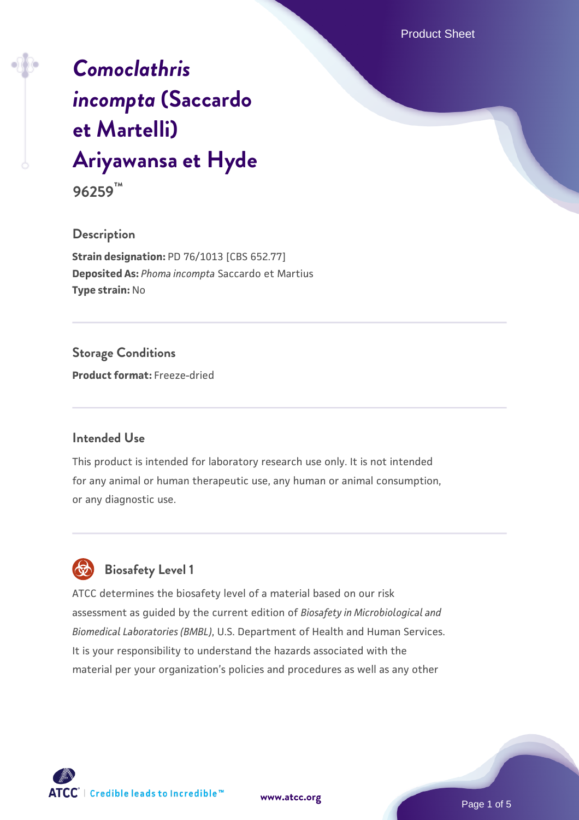Product Sheet

# *[Comoclathris](https://www.atcc.org/products/96259) [incompta](https://www.atcc.org/products/96259)* **[\(Saccardo](https://www.atcc.org/products/96259) [et Martelli\)](https://www.atcc.org/products/96259) [Ariyawansa et Hyde](https://www.atcc.org/products/96259)**

**96259™**

#### **Description**

**Strain designation:** PD 76/1013 [CBS 652.77] **Deposited As:** *Phoma incompta* Saccardo et Martius **Type strain:** No

### **Storage Conditions**

**Product format:** Freeze-dried

#### **Intended Use**

This product is intended for laboratory research use only. It is not intended for any animal or human therapeutic use, any human or animal consumption, or any diagnostic use.

## **Biosafety Level 1**

ATCC determines the biosafety level of a material based on our risk assessment as guided by the current edition of *Biosafety in Microbiological and Biomedical Laboratories (BMBL)*, U.S. Department of Health and Human Services. It is your responsibility to understand the hazards associated with the material per your organization's policies and procedures as well as any other

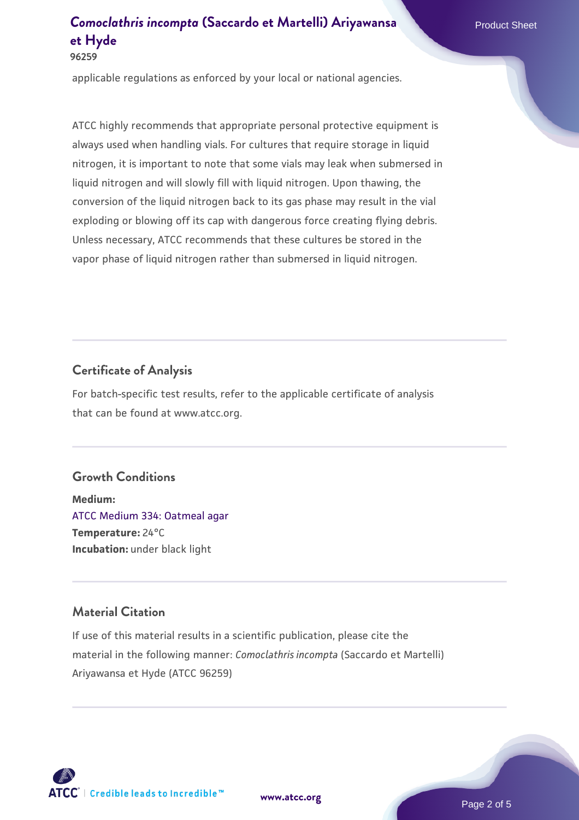applicable regulations as enforced by your local or national agencies.

ATCC highly recommends that appropriate personal protective equipment is always used when handling vials. For cultures that require storage in liquid nitrogen, it is important to note that some vials may leak when submersed in liquid nitrogen and will slowly fill with liquid nitrogen. Upon thawing, the conversion of the liquid nitrogen back to its gas phase may result in the vial exploding or blowing off its cap with dangerous force creating flying debris. Unless necessary, ATCC recommends that these cultures be stored in the vapor phase of liquid nitrogen rather than submersed in liquid nitrogen.

#### **Certificate of Analysis**

For batch-specific test results, refer to the applicable certificate of analysis that can be found at www.atcc.org.

#### **Growth Conditions**

**Medium:**  [ATCC Medium 334: Oatmeal agar](https://www.atcc.org/-/media/product-assets/documents/microbial-media-formulations/3/3/4/atcc-medium-334.pdf?rev=e382a75a48794764902dd7457c97fc29) **Temperature:** 24°C **Incubation:** under black light

#### **Material Citation**

If use of this material results in a scientific publication, please cite the material in the following manner: *Comoclathris incompta* (Saccardo et Martelli) Ariyawansa et Hyde (ATCC 96259)



**[www.atcc.org](http://www.atcc.org)**

Page 2 of 5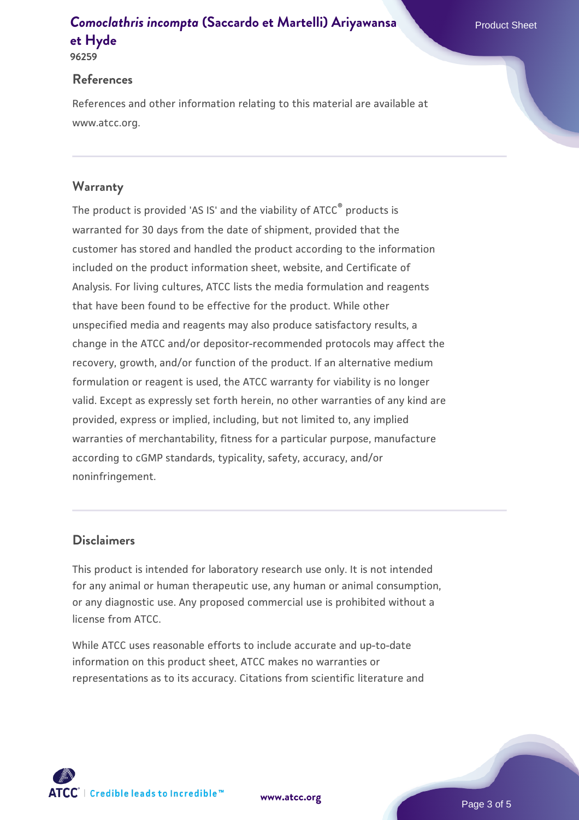#### **References**

References and other information relating to this material are available at www.atcc.org.

#### **Warranty**

The product is provided 'AS IS' and the viability of ATCC® products is warranted for 30 days from the date of shipment, provided that the customer has stored and handled the product according to the information included on the product information sheet, website, and Certificate of Analysis. For living cultures, ATCC lists the media formulation and reagents that have been found to be effective for the product. While other unspecified media and reagents may also produce satisfactory results, a change in the ATCC and/or depositor-recommended protocols may affect the recovery, growth, and/or function of the product. If an alternative medium formulation or reagent is used, the ATCC warranty for viability is no longer valid. Except as expressly set forth herein, no other warranties of any kind are provided, express or implied, including, but not limited to, any implied warranties of merchantability, fitness for a particular purpose, manufacture according to cGMP standards, typicality, safety, accuracy, and/or noninfringement.

#### **Disclaimers**

This product is intended for laboratory research use only. It is not intended for any animal or human therapeutic use, any human or animal consumption, or any diagnostic use. Any proposed commercial use is prohibited without a license from ATCC.

While ATCC uses reasonable efforts to include accurate and up-to-date information on this product sheet, ATCC makes no warranties or representations as to its accuracy. Citations from scientific literature and

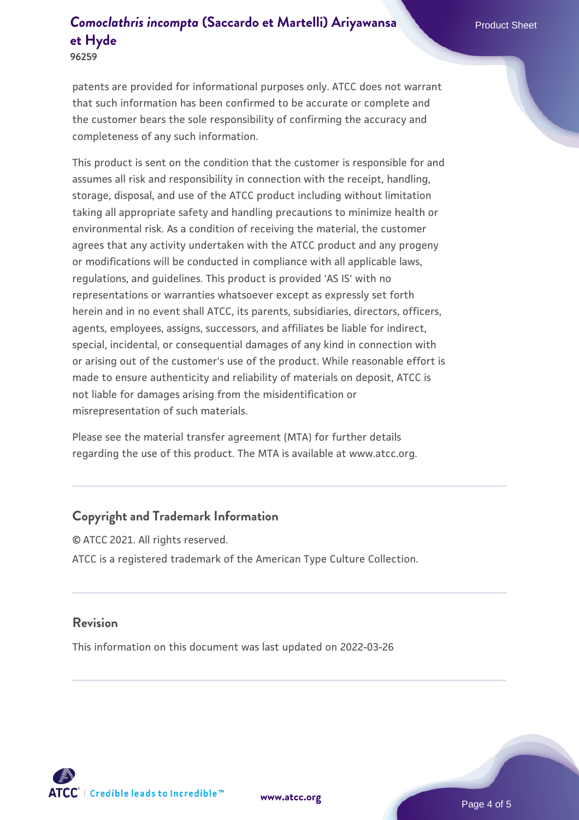**96259**

patents are provided for informational purposes only. ATCC does not warrant that such information has been confirmed to be accurate or complete and the customer bears the sole responsibility of confirming the accuracy and completeness of any such information.

This product is sent on the condition that the customer is responsible for and assumes all risk and responsibility in connection with the receipt, handling, storage, disposal, and use of the ATCC product including without limitation taking all appropriate safety and handling precautions to minimize health or environmental risk. As a condition of receiving the material, the customer agrees that any activity undertaken with the ATCC product and any progeny or modifications will be conducted in compliance with all applicable laws, regulations, and guidelines. This product is provided 'AS IS' with no representations or warranties whatsoever except as expressly set forth herein and in no event shall ATCC, its parents, subsidiaries, directors, officers, agents, employees, assigns, successors, and affiliates be liable for indirect, special, incidental, or consequential damages of any kind in connection with or arising out of the customer's use of the product. While reasonable effort is made to ensure authenticity and reliability of materials on deposit, ATCC is not liable for damages arising from the misidentification or misrepresentation of such materials.

Please see the material transfer agreement (MTA) for further details regarding the use of this product. The MTA is available at www.atcc.org.

#### **Copyright and Trademark Information**

© ATCC 2021. All rights reserved. ATCC is a registered trademark of the American Type Culture Collection.

#### **Revision**

This information on this document was last updated on 2022-03-26